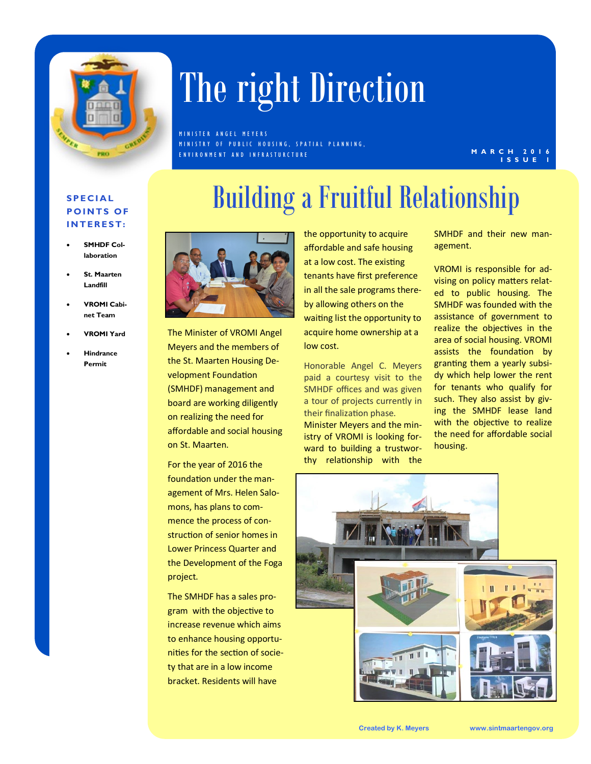

# The right Direction

M IN ISTER ANGEL MEYERS M IN ISTRY OF PUBLIC HOUSING, SPATIAL PLANNING, E N V I R O N M E N T A N D I N F R A S T U R C T U R E

#### **M A R C H 2 0 1 6 I S S U E 1**

#### **S P E C I A L POINTS OF I N T E R E S T :**

- **SMHDF Collaboration**
- **St. Maarten Landfill**
- **VROMI Cabinet Team**
- **VROMI Yard**
- **Hindrance Permit**





The Minister of VROMI Angel Meyers and the members of the St. Maarten Housing Development Foundation (SMHDF) management and board are working diligently on realizing the need for affordable and social housing on St. Maarten.

For the year of 2016 the foundation under the management of Mrs. Helen Salomons, has plans to commence the process of construction of senior homes in Lower Princess Quarter and the Development of the Foga project.

The SMHDF has a sales program with the objective to increase revenue which aims to enhance housing opportunities for the section of society that are in a low income bracket. Residents will have

the opportunity to acquire affordable and safe housing at a low cost. The existing tenants have first preference in all the sale programs thereby allowing others on the waiting list the opportunity to acquire home ownership at a low cost.

Honorable Angel C. Meyers paid a courtesy visit to the SMHDF offices and was given a tour of projects currently in their finalization phase. Minister Meyers and the ministry of VROMI is looking forward to building a trustworthy relationship with the

SMHDF and their new management.

VROMI is responsible for advising on policy matters related to public housing. The SMHDF was founded with the assistance of government to realize the objectives in the area of social housing. VROMI assists the foundation by granting them a yearly subsidy which help lower the rent for tenants who qualify for such. They also assist by giving the SMHDF lease land with the objective to realize the need for affordable social housing.

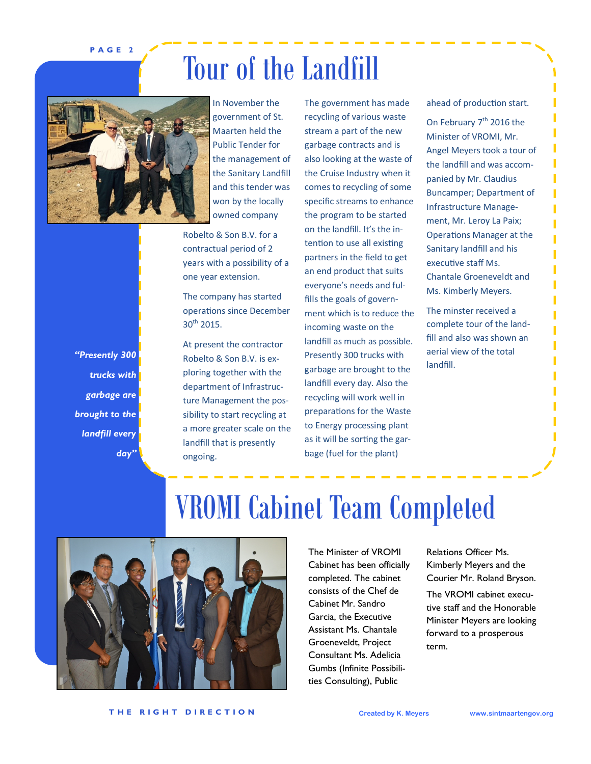**P A G E 2**

### Tour of the Landfill



In November the government of St. Maarten held the Public Tender for the management of the Sanitary Landfill and this tender was won by the locally owned company

Robelto & Son B.V. for a contractual period of 2 years with a possibility of a one year extension.

The company has started operations since December  $30^{th}$  2015.

At present the contractor Robelto & Son B.V. is exploring together with the department of Infrastructure Management the possibility to start recycling at a more greater scale on the landfill that is presently ongoing.

The government has made recycling of various waste stream a part of the new garbage contracts and is also looking at the waste of the Cruise Industry when it comes to recycling of some specific streams to enhance the program to be started on the landfill. It's the intention to use all existing partners in the field to get an end product that suits everyone's needs and fulfills the goals of government which is to reduce the incoming waste on the landfill as much as possible. Presently 300 trucks with garbage are brought to the landfill every day. Also the recycling will work well in preparations for the Waste to Energy processing plant as it will be sorting the garbage (fuel for the plant)

ahead of production start.

On February  $7<sup>th</sup>$  2016 the Minister of VROMI, Mr. Angel Meyers took a tour of the landfill and was accompanied by Mr. Claudius Buncamper; Department of Infrastructure Management, Mr. Leroy La Paix; Operations Manager at the Sanitary landfill and his executive staff Ms. Chantale Groeneveldt and Ms. Kimberly Meyers.

The minster received a complete tour of the landfill and also was shown an aerial view of the total landfill.

*"Presently 300 trucks with garbage are brought to the landfill every day"*

### VROMI Cabinet Team Completed



The Minister of VROMI Cabinet has been officially completed. The cabinet consists of the Chef de Cabinet Mr. Sandro Garcia, the Executive Assistant Ms. Chantale Groeneveldt, Project Consultant Ms. Adelicia Gumbs (Infinite Possibilities Consulting), Public

Relations Officer Ms. Kimberly Meyers and the Courier Mr. Roland Bryson.

The VROMI cabinet executive staff and the Honorable Minister Meyers are looking forward to a prosperous term.

**T H E R I G H T D I R E C T I O N Created by K. Meyers www.sintmaartengov.org**